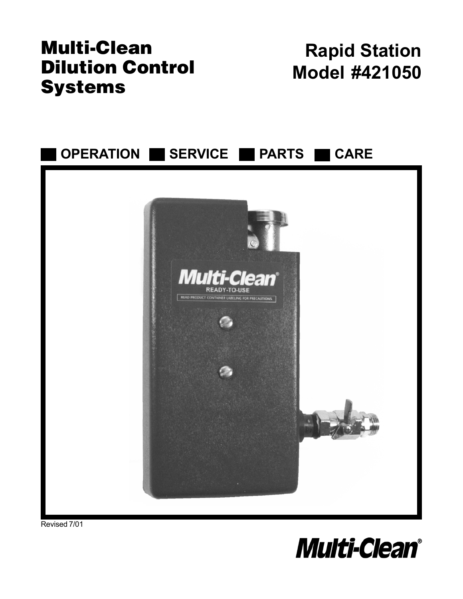## **Multi-Clean Dilution Control Systems**

# **Rapid Station Model #421050**



Revised 7/01

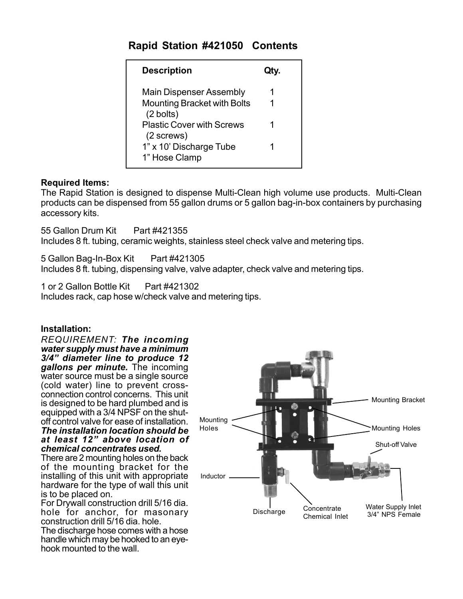#### **Rapid Station #421050 Contents**

| <b>Description</b>                                                    | Qtv. |
|-----------------------------------------------------------------------|------|
| <b>Main Dispenser Assembly</b><br><b>Mounting Bracket with Bolts</b>  |      |
| $(2 \text{ bolts})$<br><b>Plastic Cover with Screws</b><br>(2 screws) |      |
| 1" x 10' Discharge Tube<br>1" Hose Clamp                              |      |

#### **Required Items:**

The Rapid Station is designed to dispense Multi-Clean high volume use products. Multi-Clean products can be dispensed from 55 gallon drums or 5 gallon bag-in-box containers by purchasing accessory kits.

55 Gallon Drum Kit Part #421355 Includes 8 ft. tubing, ceramic weights, stainless steel check valve and metering tips.

5 Gallon Bag-In-Box Kit Part #421305 Includes 8 ft. tubing, dispensing valve, valve adapter, check valve and metering tips.

1 or 2 Gallon Bottle Kit Part #421302 Includes rack, cap hose w/check valve and metering tips.

#### **Installation:**

*REQUIREMENT: The incoming water supply must have a minimum 3/4" diameter line to produce 12 gallons per minute.* The incoming water source must be a single source (cold water) line to prevent crossconnection control concerns. This unit is designed to be hard plumbed and is equipped with a 3/4 NPSF on the shutoff control valve for ease of installation. *The installation location should be at least 12" above location of*

*chemical concentrates used.* There are 2 mounting holes on the back

of the mounting bracket for the installing of this unit with appropriate hardware for the type of wall this unit is to be placed on.

For Drywall construction drill 5/16 dia. hole for anchor, for masonary construction drill 5/16 dia. hole. The discharge hose comes with a hose handle which may be hooked to an eyehook mounted to the wall.

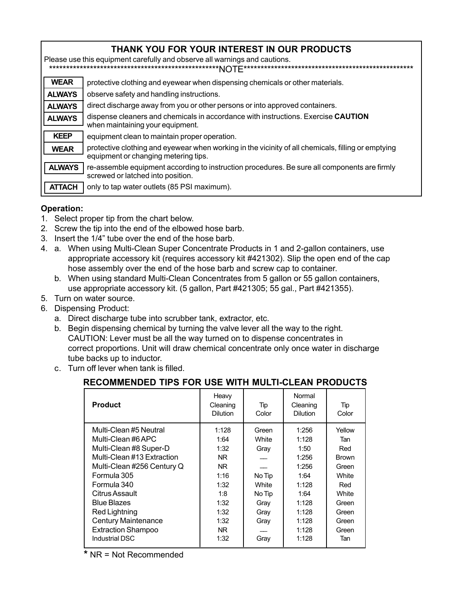| THANK YOU FOR YOUR INTEREST IN OUR PRODUCTS<br>Please use this equipment carefully and observe all warnings and cautions. |                                                                                                                                            |  |  |  |  |
|---------------------------------------------------------------------------------------------------------------------------|--------------------------------------------------------------------------------------------------------------------------------------------|--|--|--|--|
| <b>WEAR</b>                                                                                                               | protective clothing and eyewear when dispensing chemicals or other materials.                                                              |  |  |  |  |
| <b>ALWAYS</b>                                                                                                             | observe safety and handling instructions.                                                                                                  |  |  |  |  |
| <b>ALWAYS</b>                                                                                                             | direct discharge away from you or other persons or into approved containers.                                                               |  |  |  |  |
| <b>ALWAYS</b>                                                                                                             | dispense cleaners and chemicals in accordance with instructions. Exercise CAUTION<br>when maintaining your equipment.                      |  |  |  |  |
| <b>KEEP</b>                                                                                                               | equipment clean to maintain proper operation.                                                                                              |  |  |  |  |
| <b>WEAR</b>                                                                                                               | protective clothing and eyewear when working in the vicinity of all chemicals, filling or emptying<br>equipment or changing metering tips. |  |  |  |  |
| <b>ALWAYS</b>                                                                                                             | re-assemble equipment according to instruction procedures. Be sure all components are firmly<br>screwed or latched into position.          |  |  |  |  |
| <b>ATTACH</b>                                                                                                             | only to tap water outlets (85 PSI maximum).                                                                                                |  |  |  |  |

#### **Operation:**

- 1. Select proper tip from the chart below.
- 2. Screw the tip into the end of the elbowed hose barb.
- 3. Insert the 1/4" tube over the end of the hose barb.
- 4. a. When using Multi-Clean Super Concentrate Products in 1 and 2-gallon containers, use appropriate accessory kit (requires accessory kit #421302). Slip the open end of the cap hose assembly over the end of the hose barb and screw cap to container.
	- b. When using standard Multi-Clean Concentrates from 5 gallon or 55 gallon containers, use appropriate accessory kit. (5 gallon, Part #421305; 55 gal., Part #421355).
- 5. Turn on water source.
- 6. Dispensing Product:
	- a. Direct discharge tube into scrubber tank, extractor, etc.
	- b. Begin dispensing chemical by turning the valve lever all the way to the right. CAUTION: Lever must be all the way turned on to dispense concentrates in correct proportions. Unit will draw chemical concentrate only once water in discharge tube backs up to inductor.
	- c. Turn off lever when tank is filled.

| <b>Product</b>             | Heavy<br>Cleaning<br><b>Dilution</b> | Tip<br>Color | Normal<br>Cleaning<br><b>Dilution</b> | Tip<br>Color |
|----------------------------|--------------------------------------|--------------|---------------------------------------|--------------|
| Multi-Clean #5 Neutral     | 1:128                                | Green        | 1:256                                 | Yellow       |
| Multi-Clean #6 APC         | 1:64                                 | White        | 1:128                                 | Tan          |
| Multi-Clean #8 Super-D     | 1:32                                 | Gray         | 1:50                                  | Red          |
| Multi-Clean #13 Extraction | NR.                                  |              | 1:256                                 | <b>Brown</b> |
| Multi-Clean #256 Century Q | NR.                                  |              | 1:256                                 | Green        |
| Formula 305                | 1:16                                 | No Tip       | 1:64                                  | White        |
| Formula 340                | 1:32                                 | White        | 1:128                                 | Red          |
| Citrus Assault             | 1:8                                  | No Tip       | 1:64                                  | White        |
| <b>Blue Blazes</b>         | 1:32                                 | Gray         | 1:128                                 | Green        |
| <b>Red Lightning</b>       | 1:32                                 | Gray         | 1:128                                 | Green        |
| <b>Century Maintenance</b> | 1:32                                 | Gray         | 1:128                                 | Green        |
| <b>Extraction Shampoo</b>  | NR.                                  |              | 1:128                                 | Green        |
| Industrial DSC             | 1:32                                 | Gray         | 1:128                                 | Tan          |
|                            |                                      |              |                                       |              |

#### **RECOMMENDED TIPS FOR USE WITH MULTI-CLEAN PRODUCTS**

\* NR = Not Recommended